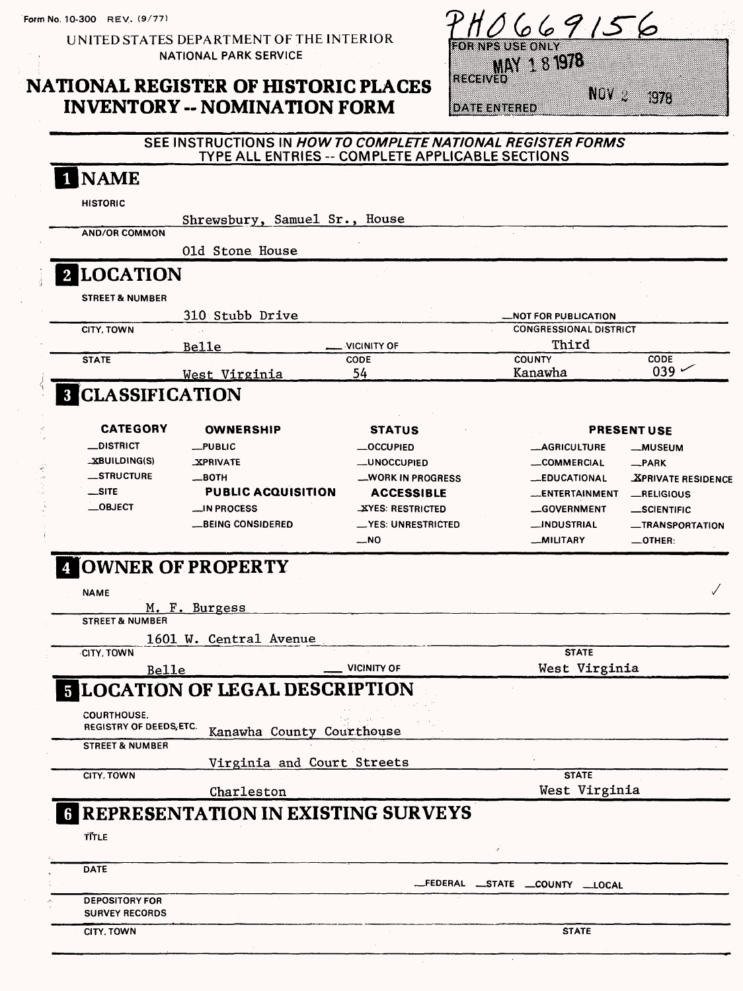Form No. 10-300 REV.. (9/77)

UNITED STATES DEPARTMENT OF THE INTERIOR NATIONAL PARK SERVICE

## NATIONAL REGISTER OF HISTORIC PLACES INVENTORY -- NOMINATION FORM

| 06691                            |  |
|----------------------------------|--|
| <b>OR NPS USE ONLY</b>           |  |
| <b>MAY 1 8 1978</b>              |  |
| <b>RECEIVED</b>                  |  |
| NW<br>wa<br><b>IDATE ENTERED</b> |  |

| <b>NAME</b><br><b>HISTORIC</b><br><b>AND/OR COMMON</b><br>2 LOCATION<br><b>STREET &amp; NUMBER</b><br>CITY, TOWN<br><b>STATE</b><br><b>8 CLASSIFICATION</b><br><b>CATEGORY</b><br><b>__DISTRICT</b><br>_XBUILDING(S)<br><b>__STRUCTURE</b> | Shrewsbury, Samuel Sr., House<br>01d Stone House<br>310 Stubb Drive<br>Belle<br><u>West Virginia</u><br><b>OWNERSHIP</b><br>__PUBLIC | VICINITY OF<br>CODE<br>54<br><b>STATUS</b> | <b>NOT FOR PUBLICATION</b><br><b>CONGRESSIONAL DISTRICT</b><br>Third<br><b>COUNTY</b><br>Kanawha | CODE<br>039               |
|--------------------------------------------------------------------------------------------------------------------------------------------------------------------------------------------------------------------------------------------|--------------------------------------------------------------------------------------------------------------------------------------|--------------------------------------------|--------------------------------------------------------------------------------------------------|---------------------------|
|                                                                                                                                                                                                                                            |                                                                                                                                      |                                            |                                                                                                  |                           |
|                                                                                                                                                                                                                                            |                                                                                                                                      |                                            |                                                                                                  |                           |
|                                                                                                                                                                                                                                            |                                                                                                                                      |                                            |                                                                                                  |                           |
|                                                                                                                                                                                                                                            |                                                                                                                                      |                                            |                                                                                                  |                           |
|                                                                                                                                                                                                                                            |                                                                                                                                      |                                            |                                                                                                  |                           |
|                                                                                                                                                                                                                                            |                                                                                                                                      |                                            |                                                                                                  |                           |
|                                                                                                                                                                                                                                            |                                                                                                                                      |                                            |                                                                                                  |                           |
|                                                                                                                                                                                                                                            |                                                                                                                                      |                                            |                                                                                                  |                           |
|                                                                                                                                                                                                                                            |                                                                                                                                      |                                            |                                                                                                  |                           |
|                                                                                                                                                                                                                                            |                                                                                                                                      |                                            |                                                                                                  |                           |
|                                                                                                                                                                                                                                            |                                                                                                                                      |                                            |                                                                                                  |                           |
|                                                                                                                                                                                                                                            |                                                                                                                                      |                                            |                                                                                                  |                           |
|                                                                                                                                                                                                                                            |                                                                                                                                      |                                            |                                                                                                  | <b>PRESENT USE</b>        |
|                                                                                                                                                                                                                                            |                                                                                                                                      | <b>__OCCUPIED</b>                          | <b>__AGRICULTURE</b>                                                                             | <b>__MUSEUM</b>           |
|                                                                                                                                                                                                                                            | <b>XPRIVATE</b>                                                                                                                      | <b>__UNOCCUPIED</b>                        | <b>__COMMERCIAL</b>                                                                              | $R$ PARK                  |
|                                                                                                                                                                                                                                            | __вотн                                                                                                                               | _WORK IN PROGRESS                          | <b>__EDUCATIONAL</b>                                                                             | <b>XPRIVATE RESIDENCE</b> |
| __SITE                                                                                                                                                                                                                                     | <b>PUBLIC ACQUISITION</b>                                                                                                            | <b>ACCESSIBLE</b>                          | __ENTERTAINMENT                                                                                  | <b>_RELIGIOUS</b>         |
| $\_$ OBJECT                                                                                                                                                                                                                                | _IN PROCESS                                                                                                                          | <b>XYES: RESTRICTED</b>                    | <b>__GOVERNMENT</b>                                                                              | _SCIENTIFIC               |
|                                                                                                                                                                                                                                            | __BEING CONSIDERED                                                                                                                   | __YES: UNRESTRICTED                        | __INDUSTRIAL                                                                                     | <b>__TRANSPORTATION</b>   |
|                                                                                                                                                                                                                                            |                                                                                                                                      | __NO                                       | __MILITARY                                                                                       | $-$ OTHER:                |
|                                                                                                                                                                                                                                            |                                                                                                                                      |                                            |                                                                                                  |                           |
|                                                                                                                                                                                                                                            | <b>4 OWNER OF PROPERTY</b>                                                                                                           |                                            |                                                                                                  |                           |
| <b>NAME</b>                                                                                                                                                                                                                                |                                                                                                                                      |                                            |                                                                                                  |                           |
| <b>STREET &amp; NUMBER</b>                                                                                                                                                                                                                 | M. F. Burgess                                                                                                                        |                                            |                                                                                                  |                           |
|                                                                                                                                                                                                                                            |                                                                                                                                      |                                            |                                                                                                  |                           |
| <b>CITY, TOWN</b>                                                                                                                                                                                                                          | 1601 W. Central Avenue                                                                                                               |                                            | <b>STATE</b>                                                                                     |                           |
|                                                                                                                                                                                                                                            |                                                                                                                                      | <b>VICINITY OF</b>                         | West Virginia                                                                                    |                           |
| Belle                                                                                                                                                                                                                                      |                                                                                                                                      |                                            |                                                                                                  |                           |
|                                                                                                                                                                                                                                            | <b>5 LOCATION OF LEGAL DESCRIPTION</b>                                                                                               |                                            |                                                                                                  |                           |
| <b>COURTHOUSE,</b>                                                                                                                                                                                                                         |                                                                                                                                      |                                            |                                                                                                  |                           |
| REGISTRY OF DEEDS, ETC.                                                                                                                                                                                                                    | Kanawha County Courthouse                                                                                                            |                                            |                                                                                                  |                           |
| <b>STREET &amp; NUMBER</b>                                                                                                                                                                                                                 |                                                                                                                                      |                                            |                                                                                                  |                           |
|                                                                                                                                                                                                                                            | Virginia and Court Streets                                                                                                           |                                            |                                                                                                  |                           |
| CITY, TOWN                                                                                                                                                                                                                                 |                                                                                                                                      |                                            | <b>STATE</b>                                                                                     |                           |
|                                                                                                                                                                                                                                            | Charleston                                                                                                                           |                                            | West Virginia                                                                                    |                           |
|                                                                                                                                                                                                                                            | <b>6 REPRESENTATION IN EXISTING SURVEYS</b>                                                                                          |                                            |                                                                                                  |                           |
| TITLE                                                                                                                                                                                                                                      |                                                                                                                                      |                                            |                                                                                                  |                           |
|                                                                                                                                                                                                                                            |                                                                                                                                      |                                            |                                                                                                  |                           |
|                                                                                                                                                                                                                                            |                                                                                                                                      |                                            |                                                                                                  |                           |
|                                                                                                                                                                                                                                            |                                                                                                                                      |                                            | .FEDERAL __STATE __COUNTY __LOCAL                                                                |                           |
| <b>DATE</b>                                                                                                                                                                                                                                |                                                                                                                                      |                                            |                                                                                                  |                           |
| <b>DEPOSITORY FOR</b>                                                                                                                                                                                                                      |                                                                                                                                      |                                            |                                                                                                  |                           |
| <b>SURVEY RECORDS</b>                                                                                                                                                                                                                      |                                                                                                                                      |                                            |                                                                                                  |                           |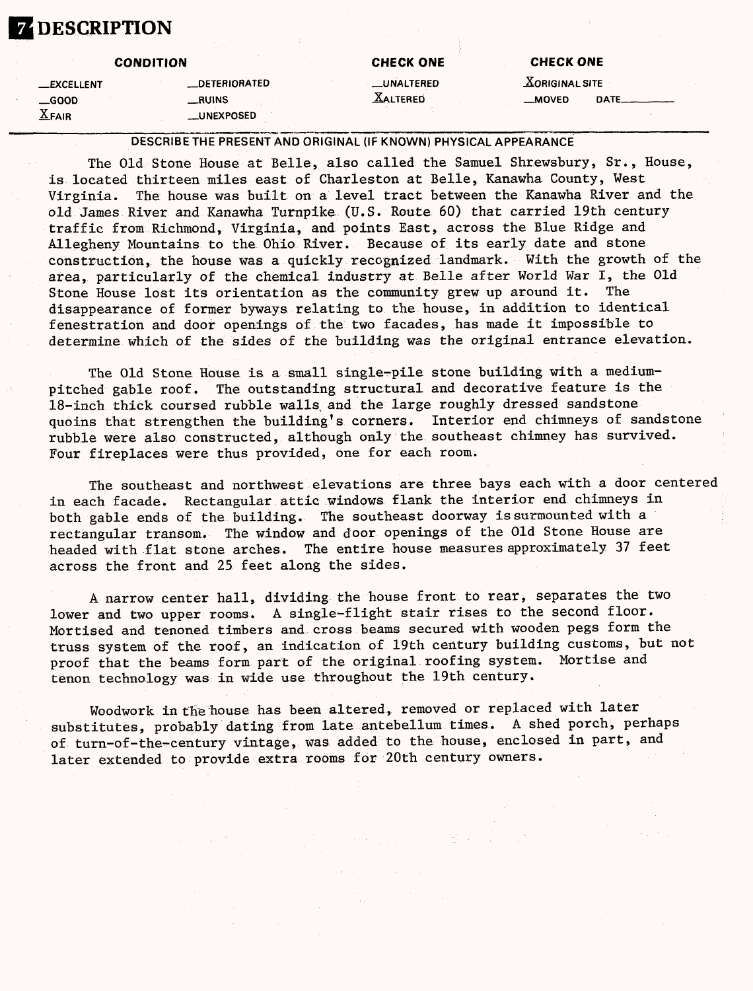## **DESCRIPTION**

**—EXCELLENT \_GOOD X.FAIR**

### **CONDITION**

**—DETERIORATED —RUINS \_UNEXPOSED**

|  | <b>CHECK ONE</b> |  |
|--|------------------|--|
|  |                  |  |

—UNALTERED **XALTERED** 

**CHECK ONE** 

 $X$ ORIGINAL SITE **MOVED** DATE\_

#### DESCRIBE THE PRESENT AND ORIGINAL (IF KNOWN) PHYSICAL APPEARANCE

The Old Stone House at Belle, also called the Samuel Shrewsbury, Sr., House, is located thirteen miles east of Charleston at Belle, Kanawha County, West Virginia. The house was built on a level tract between the Kanawha River and the old James River and Kanawha Turnpike (U.S. Route 60) that carried 19th century traffic from Richmond, Virginia, and points East, across the Blue Ridge and Allegheny Mountains to the Ohio River. Because of its early date and stone construction, the house was a quickly recognized landmark. With the growth of the area, particularly of the chemical industry at Belle after World War I, the Old Stone House lost its orientation as the community grew up around it. The disappearance of former byways relating to the house, in addition to identical fenestration and door openings of the two facades, has made it impossible to determine which of the sides of the building was the original entrance elevation.

The Old Stone House is a small single-pile stone building with a mediumpitched gable roof. The outstanding structural and decorative feature is the 18-inch thick coursed rubble walls and the large roughly dressed sandstone quoins that strengthen the building's corners. Interior end chimneys of sandstone rubble were also constructed, although only the southeast chimney has survived. Four fireplaces were thus provided, one for each room.

The southeast and northwest elevations are three bays each with a door centered in each facade. Rectangular attic windows flank the interior end chimneys in both gable ends of the building. The southeast doorway is surmounted with a rectangular transom. The window and door openings of the Old Stone House are headed with flat stone arches. The entire house measures approximately 37 feet across the front and 25 feet along the sides.

A narrow center hall, dividing the house front to rear, separates the two lower and two upper rooms. A single-flight stair rises to the second floor. Mortised and tenoned timbers and cross beams secured with wooden pegs form the truss system of the roof, an indication of 19th century building customs, but not proof that the beams form part of the original roofing system. Mortise and tenon technology was in wide use throughout the 19th century.

Woodwork in the house has been altered, removed or replaced with later substitutes, probably dating from late antebellum times. A shed porch, perhaps of turn-of-the-century vintage, was added to the house, enclosed in part, and later extended to provide extra rooms for 20th century owners.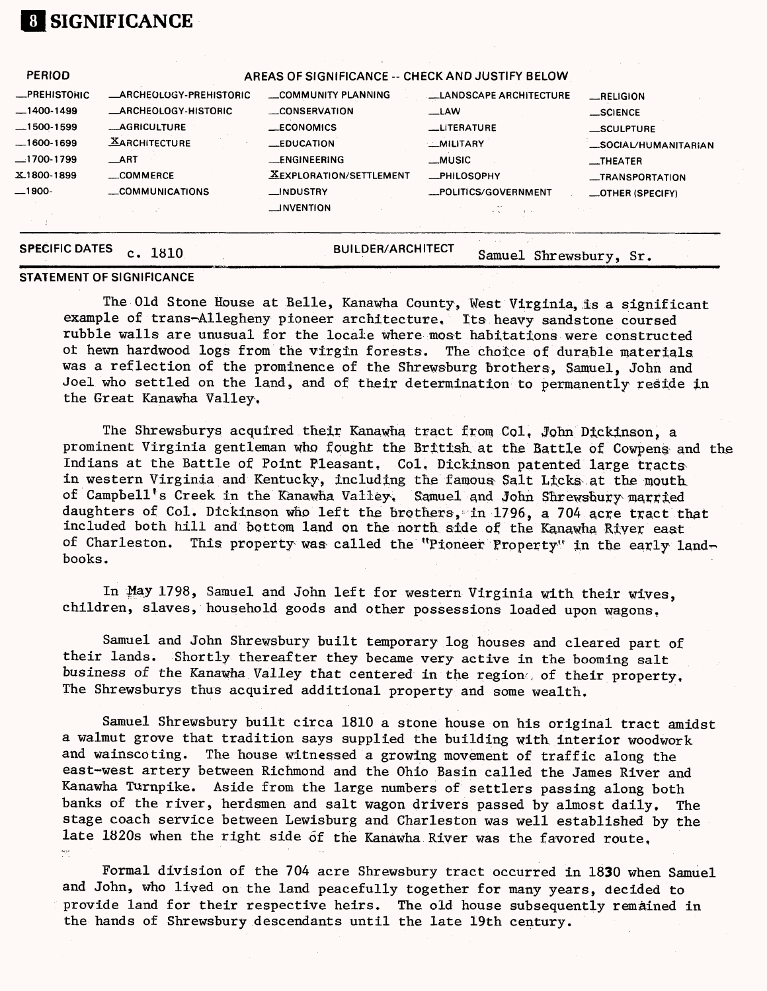### **[1 SIGNIFICANCE**

| <b>SPECIFIC DATES</b> | 1810<br>c.                    | <b>BUILDER/ARCHITECT</b>                         | Samuel Shrewsbury, Sr. |                                  |
|-----------------------|-------------------------------|--------------------------------------------------|------------------------|----------------------------------|
|                       |                               |                                                  |                        |                                  |
|                       |                               | $\Box$ NVENTION                                  |                        |                                  |
| __1900-               | COMMUNICATIONS                | <b>__INDUSTRY</b>                                | _POLITICS/GOVERNMENT   | _OTHER (SPECIFY)                 |
| X.1800-1899           | _COMMERCE                     | <b>XEXPLORATION/SETTLEMENT</b>                   | -PHILOSOPHY            | -TRANSPORTATION                  |
| —1700-1799            | __ART                         | __ENGINEERING                                    | __MUSIC                | $\overline{\phantom{a}}$ THEATER |
| $-1600-1699$          | <b>XARCHITECTURE</b>          | $\equiv$ EDUCATION                               | _MILITARY              | <b>LSOCIAL/HUMANITARIAN</b>      |
| $-1500-1599$          | <b>__AGRICULTURE</b>          | $\_ECONOMICS$                                    | <b>LITERATURE</b>      | _SCULPTURE                       |
| $-1400-1499$          | <b>ARCHEOLOGY-HISTORIC</b>    | CONSERVATION                                     | $\equiv$ LAW           | $\_$ SCIENCE                     |
| <b>_PREHISTORIC</b>   | <b>ARCHEOLOGY-PREHISTORIC</b> | COMMUNITY PLANNING                               | LANDSCAPE ARCHITECTURE | RELIGION                         |
| <b>PERIOD</b>         |                               | AREAS OF SIGNIFICANCE -- CHECK AND JUSTIFY BELOW |                        |                                  |
|                       |                               |                                                  |                        |                                  |

#### STATEMENT OF SIGNIFICANCE

The Old Stone House at Belle, Kanawha County, West Virginia, is a significant example of trans-Allegheny pioneer architecture. Its heavy sandstone coursed rubble walls are unusual for the locale where most habitations were constructed of hewn hardwood logs from the virgin forests. The choice of durable materials was a reflection of the prominence of the Shrewsburg brothers, Samuel, John and Joel who settled on the land, and of their determination to permanently reside in the Great Kanawha Valley,

The Shrewsburys acquired their Kanawha tract from Col. John Dickinson, a prominent Virginia gentleman who fought the British, at the Battle of Cowpens; and the Indians at the Battle of Point Pleasant. Col, Dickinaon patented large tracts in western Virginia and Kentucky, including the famous Salt Licks at the mouth of Campbell's Creek in the Kanawha Valley. Samuel and John Shrewsbury married daughters of Col. Dickinson who left the brothers, in 1796, a 704 acre tract that included both hill and bottom land on the north side of the Kanawha River east of Charleston. This property was called the "Pioneer Property" in the early landbooks.

In May 1798, Samuel and John left for western Virginia with their wives, children, slaves, household goods and other possessions loaded upon wagons.

Samuel and John Shrewsbury built temporary log houses and cleared part of their lands. Shortly thereafter they became very active in the booming salt business of the Kanawha Valley that centered in the region of their property. The Shrewsburys thus acquired additional property and some wealth.

Samuel Shrewsbury built circa 1810 a stone house on his original tract amidst a walmut grove that tradition says supplied the building with interior woodwork and wainscoting. The house witnessed a growing movement of traffic along the east-west artery between Richmond and the Ohio Basin called the James River and Kanawha Turnpike. Aside from the large numbers of settlers passing along both banks of the river, herdsmen and salt wagon drivers passed by almost daily. The stage coach service between Lewisburg and Charleston was well established by the late 1820s when the right side of the Kanawha River was the favored route, Ϋ́.

Formal division of the 704 acre Shrewsbury tract occurred in 1830 when Samuel and John, who lived on the land peacefully together for many years, decided to provide land for their respective heirs. The old house subsequently remained in the hands of Shrewsbury descendants until the late 19th century.